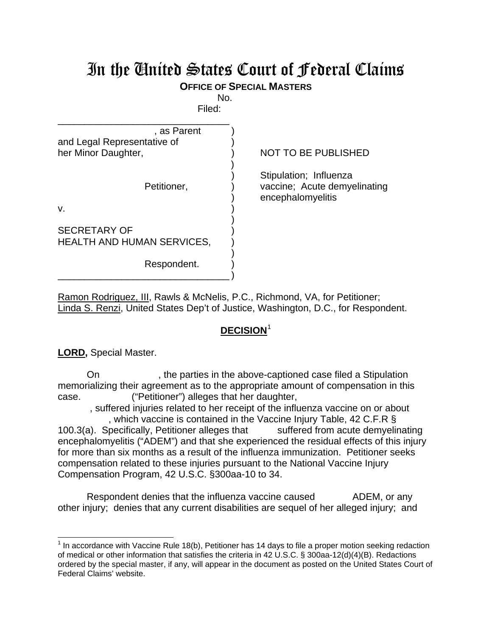## In the United States Court of Federal Claims

## **OFFICE OF SPECIAL MASTERS**

No. Filed:

| <b>NOT TO BE PUBLISHED</b>                                                  |  |
|-----------------------------------------------------------------------------|--|
| Stipulation; Influenza<br>vaccine; Acute demyelinating<br>encephalomyelitis |  |
|                                                                             |  |

Ramon Rodriguez, III, Rawls & McNelis, P.C., Richmond, VA, for Petitioner; Linda S. Renzi, United States Dep't of Justice, Washington, D.C., for Respondent.

## **DECISION**[1](#page-0-0)

**LORD,** Special Master.

On the parties in the above-captioned case filed a Stipulation memorializing their agreement as to the appropriate amount of compensation in this case. ("Petitioner") alleges that her daughter,

 , suffered injuries related to her receipt of the influenza vaccine on or about , which vaccine is contained in the Vaccine Injury Table, 42 C.F.R §

100.3(a). Specifically, Petitioner alleges that suffered from acute demyelinating encephalomyelitis ("ADEM") and that she experienced the residual effects of this injury for more than six months as a result of the influenza immunization. Petitioner seeks compensation related to these injuries pursuant to the National Vaccine Injury Compensation Program, 42 U.S.C. §300aa-10 to 34.

Respondent denies that the influenza vaccine caused ADEM, or any other injury; denies that any current disabilities are sequel of her alleged injury; and

<span id="page-0-0"></span> $1$  In accordance with Vaccine Rule 18(b), Petitioner has 14 days to file a proper motion seeking redaction of medical or other information that satisfies the criteria in 42 U.S.C. § 300aa-12(d)(4)(B). Redactions ordered by the special master, if any, will appear in the document as posted on the United States Court of Federal Claims' website.